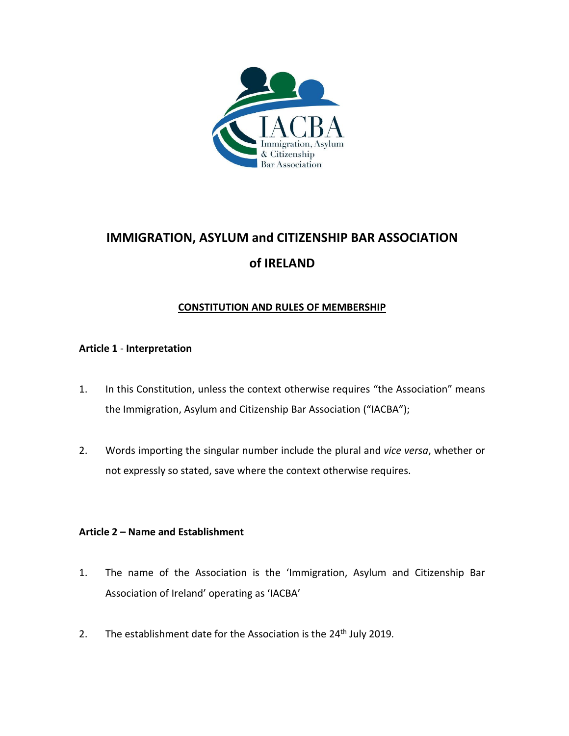

# **IMMIGRATION, ASYLUM and CITIZENSHIP BAR ASSOCIATION of IRELAND**

# **CONSTITUTION AND RULES OF MEMBERSHIP**

# **Article 1** - **Interpretation**

- 1. In this Constitution, unless the context otherwise requires "the Association" means the Immigration, Asylum and Citizenship Bar Association ("IACBA");
- 2. Words importing the singular number include the plural and *vice versa*, whether or not expressly so stated, save where the context otherwise requires.

# **Article 2 – Name and Establishment**

- 1. The name of the Association is the 'Immigration, Asylum and Citizenship Bar Association of Ireland' operating as 'IACBA'
- 2. The establishment date for the Association is the 24 th July 2019*.*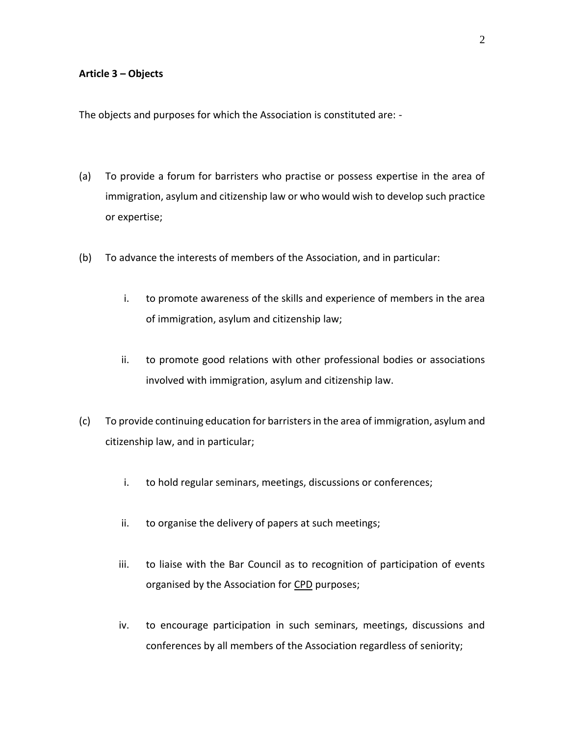#### **Article 3 – Objects**

The objects and purposes for which the Association is constituted are: -

- (a) To provide a forum for barristers who practise or possess expertise in the area of immigration, asylum and citizenship law or who would wish to develop such practice or expertise;
- (b) To advance the interests of members of the Association, and in particular:
	- i. to promote awareness of the skills and experience of members in the area of immigration, asylum and citizenship law;
	- ii. to promote good relations with other professional bodies or associations involved with immigration, asylum and citizenship law.
- (c) To provide continuing education for barristers in the area of immigration, asylum and citizenship law, and in particular;
	- i. to hold regular seminars, meetings, discussions or conferences;
	- ii. to organise the delivery of papers at such meetings;
	- iii. to liaise with the Bar Council as to recognition of participation of events organised by the Association for CPD purposes;
	- iv. to encourage participation in such seminars, meetings, discussions and conferences by all members of the Association regardless of seniority;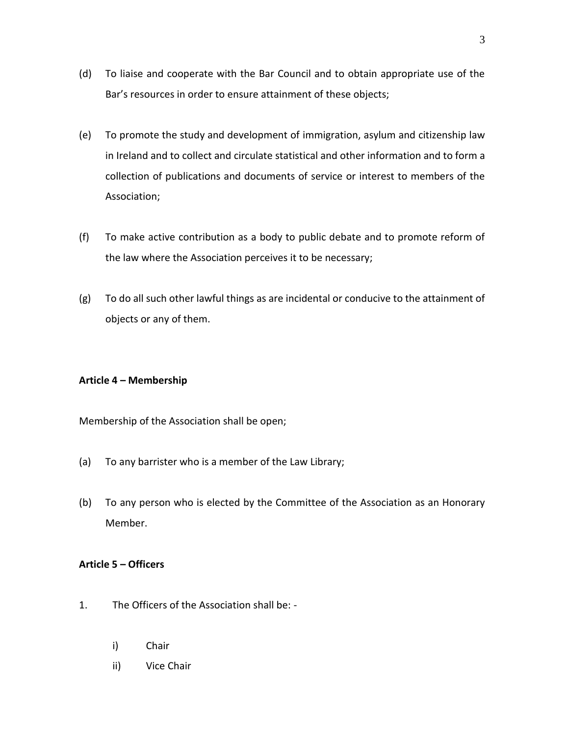- (d) To liaise and cooperate with the Bar Council and to obtain appropriate use of the Bar's resources in order to ensure attainment of these objects;
- (e) To promote the study and development of immigration, asylum and citizenship law in Ireland and to collect and circulate statistical and other information and to form a collection of publications and documents of service or interest to members of the Association;
- (f) To make active contribution as a body to public debate and to promote reform of the law where the Association perceives it to be necessary;
- (g) To do all such other lawful things as are incidental or conducive to the attainment of objects or any of them.

## **Article 4 – Membership**

Membership of the Association shall be open;

- (a) To any barrister who is a member of the Law Library;
- (b) To any person who is elected by the Committee of the Association as an Honorary Member.

# **Article 5 – Officers**

- 1. The Officers of the Association shall be:
	- i) Chair
	- ii) Vice Chair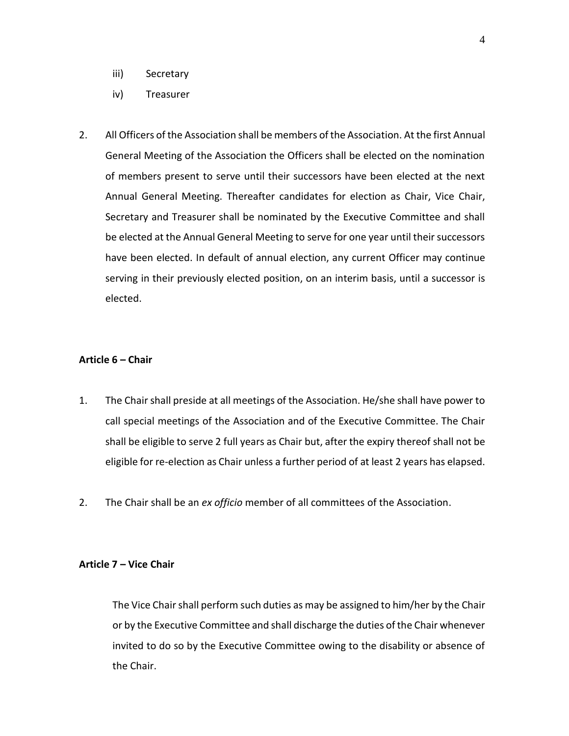- iii) Secretary
- iv) Treasurer
- 2. All Officers of the Association shall be members of the Association. At the first Annual General Meeting of the Association the Officers shall be elected on the nomination of members present to serve until their successors have been elected at the next Annual General Meeting. Thereafter candidates for election as Chair, Vice Chair, Secretary and Treasurer shall be nominated by the Executive Committee and shall be elected at the Annual General Meeting to serve for one year until their successors have been elected. In default of annual election, any current Officer may continue serving in their previously elected position, on an interim basis, until a successor is elected.

## **Article 6 – Chair**

- 1. The Chair shall preside at all meetings of the Association. He/she shall have power to call special meetings of the Association and of the Executive Committee. The Chair shall be eligible to serve 2 full years as Chair but, after the expiry thereof shall not be eligible for re-election as Chair unless a further period of at least 2 years has elapsed.
- 2. The Chair shall be an *ex officio* member of all committees of the Association.

## **Article 7 – Vice Chair**

The Vice Chair shall perform such duties as may be assigned to him/her by the Chair or by the Executive Committee and shall discharge the duties of the Chair whenever invited to do so by the Executive Committee owing to the disability or absence of the Chair.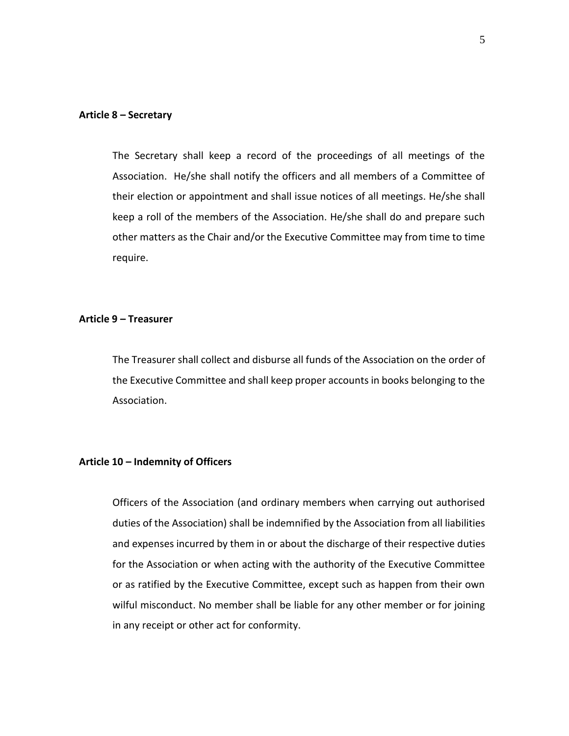#### **Article 8 – Secretary**

The Secretary shall keep a record of the proceedings of all meetings of the Association. He/she shall notify the officers and all members of a Committee of their election or appointment and shall issue notices of all meetings. He/she shall keep a roll of the members of the Association. He/she shall do and prepare such other matters as the Chair and/or the Executive Committee may from time to time require.

#### **Article 9 – Treasurer**

The Treasurer shall collect and disburse all funds of the Association on the order of the Executive Committee and shall keep proper accounts in books belonging to the Association.

## **Article 10 – Indemnity of Officers**

Officers of the Association (and ordinary members when carrying out authorised duties of the Association) shall be indemnified by the Association from all liabilities and expenses incurred by them in or about the discharge of their respective duties for the Association or when acting with the authority of the Executive Committee or as ratified by the Executive Committee, except such as happen from their own wilful misconduct. No member shall be liable for any other member or for joining in any receipt or other act for conformity.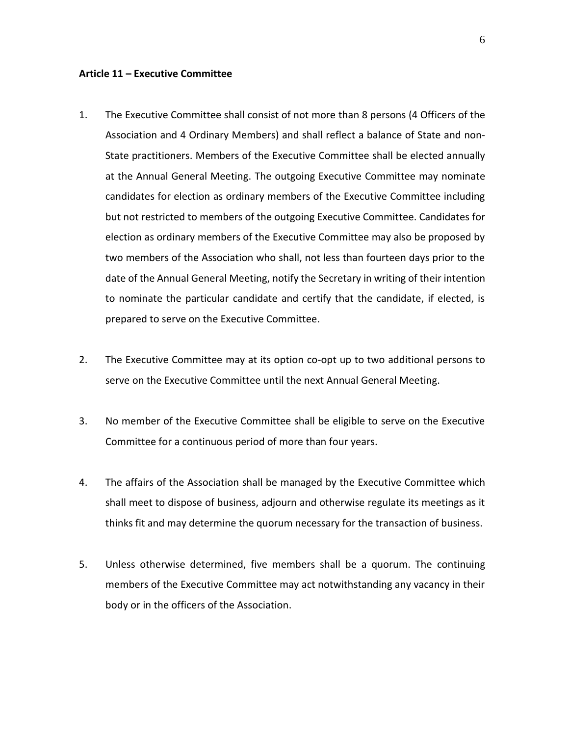#### **Article 11 – Executive Committee**

- 1. The Executive Committee shall consist of not more than 8 persons (4 Officers of the Association and 4 Ordinary Members) and shall reflect a balance of State and non-State practitioners. Members of the Executive Committee shall be elected annually at the Annual General Meeting. The outgoing Executive Committee may nominate candidates for election as ordinary members of the Executive Committee including but not restricted to members of the outgoing Executive Committee. Candidates for election as ordinary members of the Executive Committee may also be proposed by two members of the Association who shall, not less than fourteen days prior to the date of the Annual General Meeting, notify the Secretary in writing of their intention to nominate the particular candidate and certify that the candidate, if elected, is prepared to serve on the Executive Committee.
- 2. The Executive Committee may at its option co-opt up to two additional persons to serve on the Executive Committee until the next Annual General Meeting.
- 3. No member of the Executive Committee shall be eligible to serve on the Executive Committee for a continuous period of more than four years.
- 4. The affairs of the Association shall be managed by the Executive Committee which shall meet to dispose of business, adjourn and otherwise regulate its meetings as it thinks fit and may determine the quorum necessary for the transaction of business.
- 5. Unless otherwise determined, five members shall be a quorum. The continuing members of the Executive Committee may act notwithstanding any vacancy in their body or in the officers of the Association.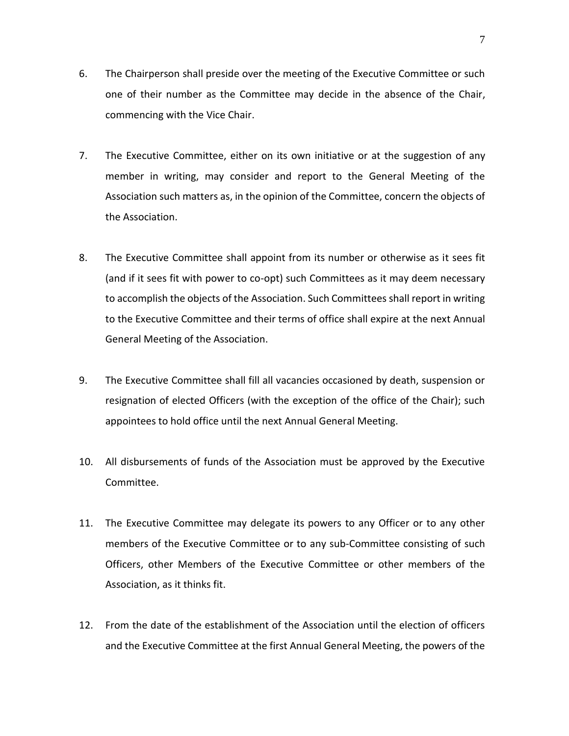- 6. The Chairperson shall preside over the meeting of the Executive Committee or such one of their number as the Committee may decide in the absence of the Chair, commencing with the Vice Chair.
- 7. The Executive Committee, either on its own initiative or at the suggestion of any member in writing, may consider and report to the General Meeting of the Association such matters as, in the opinion of the Committee, concern the objects of the Association.
- 8. The Executive Committee shall appoint from its number or otherwise as it sees fit (and if it sees fit with power to co-opt) such Committees as it may deem necessary to accomplish the objects of the Association. Such Committees shall report in writing to the Executive Committee and their terms of office shall expire at the next Annual General Meeting of the Association.
- 9. The Executive Committee shall fill all vacancies occasioned by death, suspension or resignation of elected Officers (with the exception of the office of the Chair); such appointees to hold office until the next Annual General Meeting.
- 10. All disbursements of funds of the Association must be approved by the Executive Committee.
- 11. The Executive Committee may delegate its powers to any Officer or to any other members of the Executive Committee or to any sub-Committee consisting of such Officers, other Members of the Executive Committee or other members of the Association, as it thinks fit.
- 12. From the date of the establishment of the Association until the election of officers and the Executive Committee at the first Annual General Meeting, the powers of the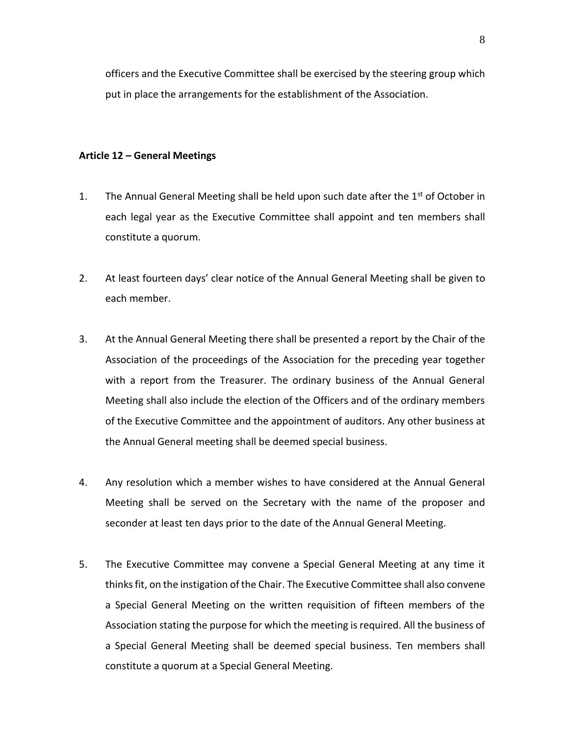officers and the Executive Committee shall be exercised by the steering group which put in place the arrangements for the establishment of the Association.

## **Article 12 – General Meetings**

- 1. The Annual General Meeting shall be held upon such date after the  $1<sup>st</sup>$  of October in each legal year as the Executive Committee shall appoint and ten members shall constitute a quorum.
- 2. At least fourteen days' clear notice of the Annual General Meeting shall be given to each member.
- 3. At the Annual General Meeting there shall be presented a report by the Chair of the Association of the proceedings of the Association for the preceding year together with a report from the Treasurer. The ordinary business of the Annual General Meeting shall also include the election of the Officers and of the ordinary members of the Executive Committee and the appointment of auditors. Any other business at the Annual General meeting shall be deemed special business.
- 4. Any resolution which a member wishes to have considered at the Annual General Meeting shall be served on the Secretary with the name of the proposer and seconder at least ten days prior to the date of the Annual General Meeting.
- 5. The Executive Committee may convene a Special General Meeting at any time it thinks fit, on the instigation of the Chair. The Executive Committee shall also convene a Special General Meeting on the written requisition of fifteen members of the Association stating the purpose for which the meeting is required. All the business of a Special General Meeting shall be deemed special business. Ten members shall constitute a quorum at a Special General Meeting.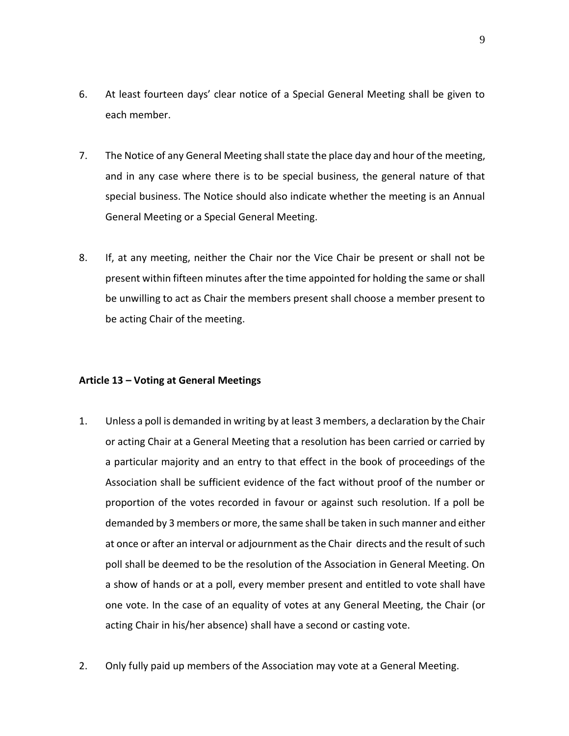- 6. At least fourteen days' clear notice of a Special General Meeting shall be given to each member.
- 7. The Notice of any General Meeting shall state the place day and hour of the meeting, and in any case where there is to be special business, the general nature of that special business. The Notice should also indicate whether the meeting is an Annual General Meeting or a Special General Meeting.
- 8. If, at any meeting, neither the Chair nor the Vice Chair be present or shall not be present within fifteen minutes after the time appointed for holding the same or shall be unwilling to act as Chair the members present shall choose a member present to be acting Chair of the meeting.

## **Article 13 – Voting at General Meetings**

- 1. Unless a poll is demanded in writing by at least 3 members, a declaration by the Chair or acting Chair at a General Meeting that a resolution has been carried or carried by a particular majority and an entry to that effect in the book of proceedings of the Association shall be sufficient evidence of the fact without proof of the number or proportion of the votes recorded in favour or against such resolution. If a poll be demanded by 3 members or more, the same shall be taken in such manner and either at once or after an interval or adjournment as the Chair directs and the result of such poll shall be deemed to be the resolution of the Association in General Meeting. On a show of hands or at a poll, every member present and entitled to vote shall have one vote. In the case of an equality of votes at any General Meeting, the Chair (or acting Chair in his/her absence) shall have a second or casting vote.
- 2. Only fully paid up members of the Association may vote at a General Meeting.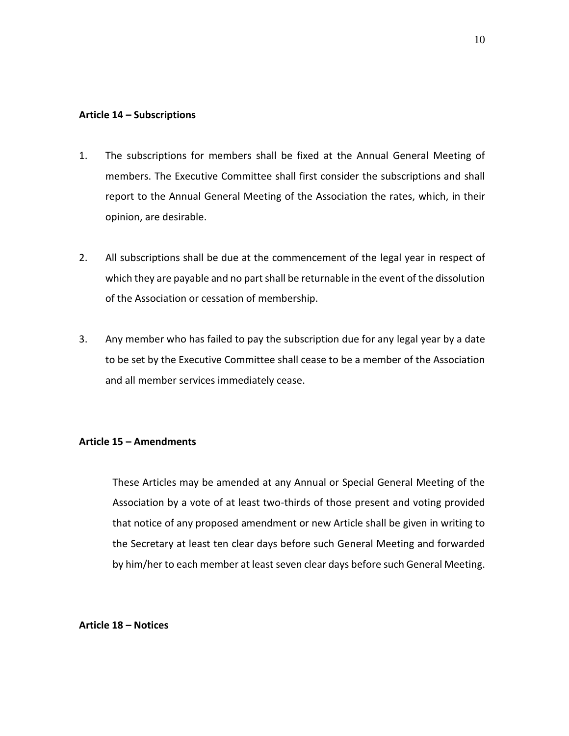#### **Article 14 – Subscriptions**

- 1. The subscriptions for members shall be fixed at the Annual General Meeting of members. The Executive Committee shall first consider the subscriptions and shall report to the Annual General Meeting of the Association the rates, which, in their opinion, are desirable.
- 2. All subscriptions shall be due at the commencement of the legal year in respect of which they are payable and no part shall be returnable in the event of the dissolution of the Association or cessation of membership.
- 3. Any member who has failed to pay the subscription due for any legal year by a date to be set by the Executive Committee shall cease to be a member of the Association and all member services immediately cease.

## **Article 15 – Amendments**

These Articles may be amended at any Annual or Special General Meeting of the Association by a vote of at least two-thirds of those present and voting provided that notice of any proposed amendment or new Article shall be given in writing to the Secretary at least ten clear days before such General Meeting and forwarded by him/her to each member at least seven clear days before such General Meeting.

#### **Article 18 – Notices**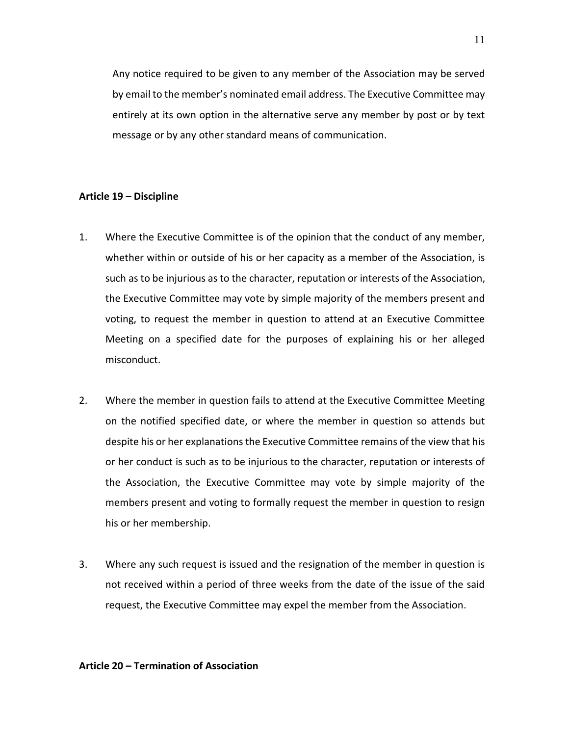Any notice required to be given to any member of the Association may be served by email to the member's nominated email address. The Executive Committee may entirely at its own option in the alternative serve any member by post or by text message or by any other standard means of communication.

#### **Article 19 – Discipline**

- 1. Where the Executive Committee is of the opinion that the conduct of any member, whether within or outside of his or her capacity as a member of the Association, is such as to be injurious as to the character, reputation or interests of the Association, the Executive Committee may vote by simple majority of the members present and voting, to request the member in question to attend at an Executive Committee Meeting on a specified date for the purposes of explaining his or her alleged misconduct.
- 2. Where the member in question fails to attend at the Executive Committee Meeting on the notified specified date, or where the member in question so attends but despite his or her explanations the Executive Committee remains of the view that his or her conduct is such as to be injurious to the character, reputation or interests of the Association, the Executive Committee may vote by simple majority of the members present and voting to formally request the member in question to resign his or her membership.
- 3. Where any such request is issued and the resignation of the member in question is not received within a period of three weeks from the date of the issue of the said request, the Executive Committee may expel the member from the Association.